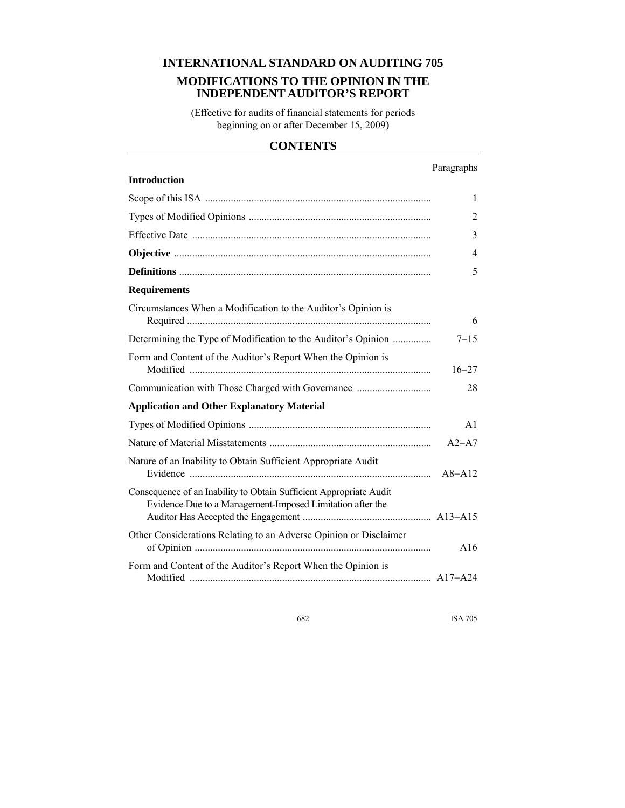# **INTERNATIONAL STANDARD ON AUDITING 705**

# **MODIFICATIONS TO THE OPINION IN THE INDEPENDENT AUDITOR'S REPORT**

(Effective for audits of financial statements for periods beginning on or after December 15, 2009)

# **CONTENTS**

|                                                                                                                                 | Paragraphs      |
|---------------------------------------------------------------------------------------------------------------------------------|-----------------|
| <b>Introduction</b>                                                                                                             |                 |
|                                                                                                                                 | 1               |
|                                                                                                                                 | 2               |
|                                                                                                                                 | 3               |
|                                                                                                                                 | 4               |
|                                                                                                                                 | 5               |
| <b>Requirements</b>                                                                                                             |                 |
| Circumstances When a Modification to the Auditor's Opinion is                                                                   | 6               |
| Determining the Type of Modification to the Auditor's Opinion                                                                   | $7 - 15$        |
| Form and Content of the Auditor's Report When the Opinion is                                                                    | $16 - 27$       |
| Communication with Those Charged with Governance                                                                                | 28              |
| <b>Application and Other Explanatory Material</b>                                                                               |                 |
|                                                                                                                                 | A <sub>1</sub>  |
|                                                                                                                                 | $A2 - A7$       |
| Nature of an Inability to Obtain Sufficient Appropriate Audit                                                                   | $A8 - A12$      |
| Consequence of an Inability to Obtain Sufficient Appropriate Audit<br>Evidence Due to a Management-Imposed Limitation after the |                 |
| Other Considerations Relating to an Adverse Opinion or Disclaimer                                                               | A <sub>16</sub> |
| Form and Content of the Auditor's Report When the Opinion is                                                                    |                 |

682 ISA 705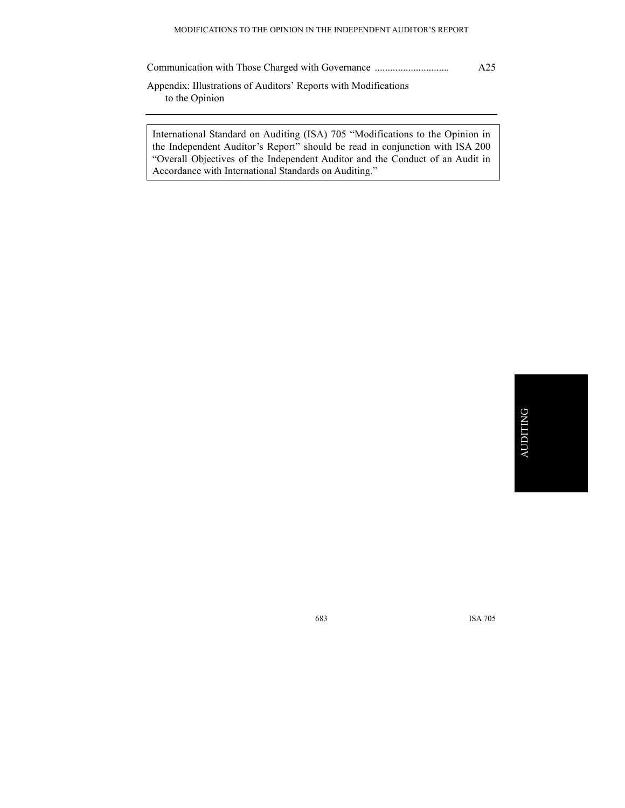Communication with Those Charged with Governance ............................. A25

Appendix: Illustrations of Auditors' Reports with Modifications to the Opinion

International Standard on Auditing (ISA) 705 "Modifications to the Opinion in the Independent Auditor's Report" should be read in conjunction with ISA 200 "Overall Objectives of the Independent Auditor and the Conduct of an Audit in Accordance with International Standards on Auditing."

683 ISA 705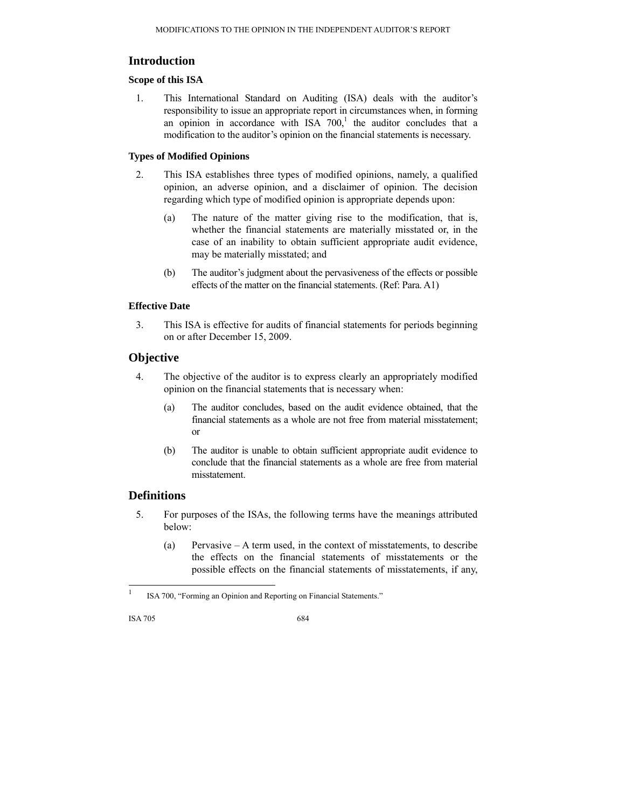## **Introduction**

### **Scope of this ISA**

1. This International Standard on Auditing (ISA) deals with the auditor's responsibility to issue an appropriate report in circumstances when, in forming an opinion in accordance with ISA  $700<sub>1</sub><sup>1</sup>$  the auditor concludes that a modification to the auditor's opinion on the financial statements is necessary.

## **Types of Modified Opinions**

- 2. This ISA establishes three types of modified opinions, namely, a qualified opinion, an adverse opinion, and a disclaimer of opinion. The decision regarding which type of modified opinion is appropriate depends upon:
	- (a) The nature of the matter giving rise to the modification, that is, whether the financial statements are materially misstated or, in the case of an inability to obtain sufficient appropriate audit evidence, may be materially misstated; and
	- (b) The auditor's judgment about the pervasiveness of the effects or possible effects of the matter on the financial statements. (Ref: Para. A1)

## **Effective Date**

3. This ISA is effective for audits of financial statements for periods beginning on or after December 15, 2009.

## **Objective**

- 4. The objective of the auditor is to express clearly an appropriately modified opinion on the financial statements that is necessary when:
	- (a) The auditor concludes, based on the audit evidence obtained, that the financial statements as a whole are not free from material misstatement; or
	- (b) The auditor is unable to obtain sufficient appropriate audit evidence to conclude that the financial statements as a whole are free from material misstatement.

## **Definitions**

- 5. For purposes of the ISAs, the following terms have the meanings attributed below:
	- (a) Pervasive A term used, in the context of misstatements, to describe the effects on the financial statements of misstatements or the possible effects on the financial statements of misstatements, if any,

 $\frac{1}{1}$ ISA 700, "Forming an Opinion and Reporting on Financial Statements."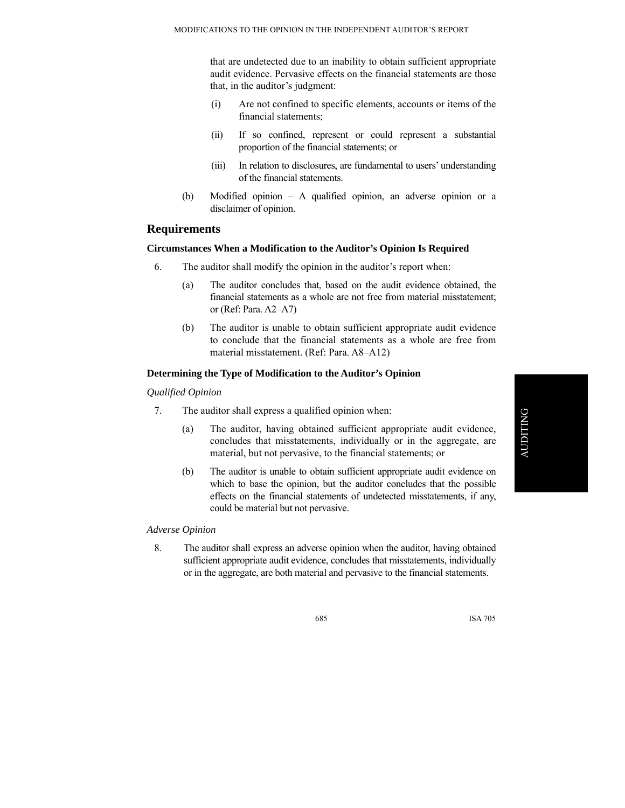that are undetected due to an inability to obtain sufficient appropriate audit evidence. Pervasive effects on the financial statements are those that, in the auditor's judgment:

- (i) Are not confined to specific elements, accounts or items of the financial statements;
- (ii) If so confined, represent or could represent a substantial proportion of the financial statements; or
- (iii) In relation to disclosures, are fundamental to users' understanding of the financial statements.
- (b) Modified opinion A qualified opinion, an adverse opinion or a disclaimer of opinion.

## **Requirements**

## **Circumstances When a Modification to the Auditor's Opinion Is Required**

- 6. The auditor shall modify the opinion in the auditor's report when:
	- (a) The auditor concludes that, based on the audit evidence obtained, the financial statements as a whole are not free from material misstatement; or (Ref: Para. A2–A7)
	- (b) The auditor is unable to obtain sufficient appropriate audit evidence to conclude that the financial statements as a whole are free from material misstatement. (Ref: Para. A8–A12)

### **Determining the Type of Modification to the Auditor's Opinion**

*Qualified Opinion* 

- 7. The auditor shall express a qualified opinion when:
	- (a) The auditor, having obtained sufficient appropriate audit evidence, concludes that misstatements, individually or in the aggregate, are material, but not pervasive, to the financial statements; or
	- (b) The auditor is unable to obtain sufficient appropriate audit evidence on which to base the opinion, but the auditor concludes that the possible effects on the financial statements of undetected misstatements, if any, could be material but not pervasive.

#### *Adverse Opinion*

8. The auditor shall express an adverse opinion when the auditor, having obtained sufficient appropriate audit evidence, concludes that misstatements, individually or in the aggregate, are both material and pervasive to the financial statements.

685 ISA 705

AUDITING

**AUDITING**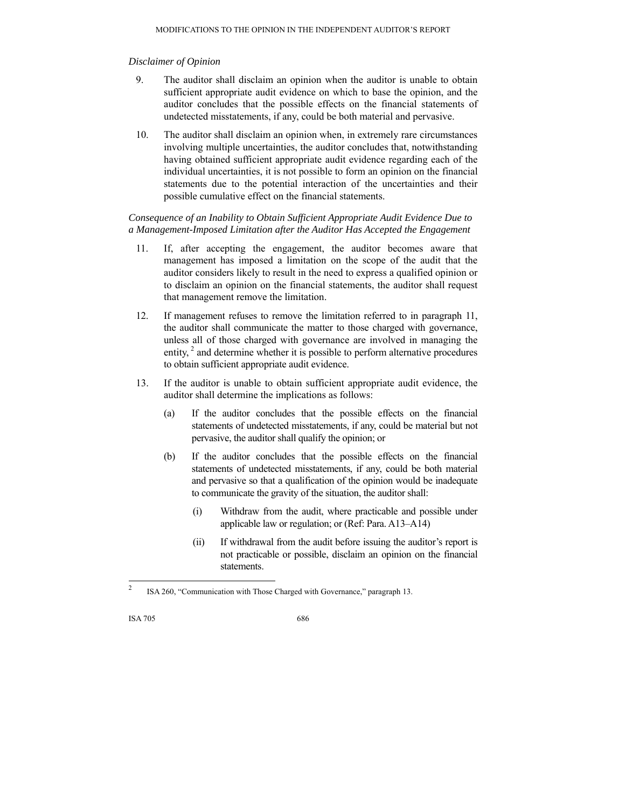### *Disclaimer of Opinion*

- 9. The auditor shall disclaim an opinion when the auditor is unable to obtain sufficient appropriate audit evidence on which to base the opinion, and the auditor concludes that the possible effects on the financial statements of undetected misstatements, if any, could be both material and pervasive.
- 10. The auditor shall disclaim an opinion when, in extremely rare circumstances involving multiple uncertainties, the auditor concludes that, notwithstanding having obtained sufficient appropriate audit evidence regarding each of the individual uncertainties, it is not possible to form an opinion on the financial statements due to the potential interaction of the uncertainties and their possible cumulative effect on the financial statements.

### *Consequence of an Inability to Obtain Sufficient Appropriate Audit Evidence Due to a Management-Imposed Limitation after the Auditor Has Accepted the Engagement*

- 11. If, after accepting the engagement, the auditor becomes aware that management has imposed a limitation on the scope of the audit that the auditor considers likely to result in the need to express a qualified opinion or to disclaim an opinion on the financial statements, the auditor shall request that management remove the limitation.
- 12. If management refuses to remove the limitation referred to in paragraph 11, the auditor shall communicate the matter to those charged with governance, unless all of those charged with governance are involved in managing the entity, <sup>2</sup> and determine whether it is possible to perform alternative procedures to obtain sufficient appropriate audit evidence.
- 13. If the auditor is unable to obtain sufficient appropriate audit evidence, the auditor shall determine the implications as follows:
	- (a) If the auditor concludes that the possible effects on the financial statements of undetected misstatements, if any, could be material but not pervasive, the auditor shall qualify the opinion; or
	- (b) If the auditor concludes that the possible effects on the financial statements of undetected misstatements, if any, could be both material and pervasive so that a qualification of the opinion would be inadequate to communicate the gravity of the situation, the auditor shall:
		- (i) Withdraw from the audit, where practicable and possible under applicable law or regulation; or (Ref: Para. A13–A14)
		- (ii) If withdrawal from the audit before issuing the auditor's report is not practicable or possible, disclaim an opinion on the financial statements.

 $\frac{1}{2}$ ISA 260, "Communication with Those Charged with Governance," paragraph 13.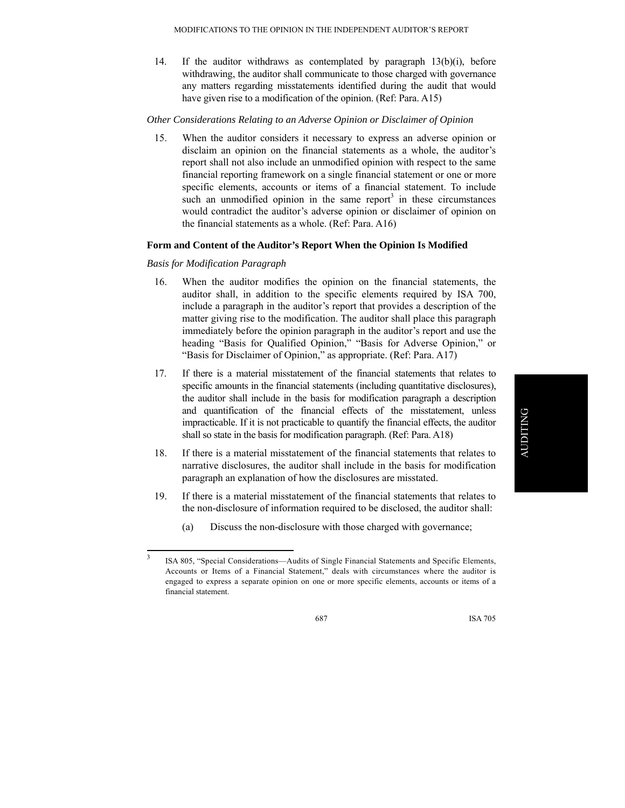14. If the auditor withdraws as contemplated by paragraph  $13(b)(i)$ , before withdrawing, the auditor shall communicate to those charged with governance any matters regarding misstatements identified during the audit that would have given rise to a modification of the opinion. (Ref: Para. A15)

#### *Other Considerations Relating to an Adverse Opinion or Disclaimer of Opinion*

15. When the auditor considers it necessary to express an adverse opinion or disclaim an opinion on the financial statements as a whole, the auditor's report shall not also include an unmodified opinion with respect to the same financial reporting framework on a single financial statement or one or more specific elements, accounts or items of a financial statement. To include such an unmodified opinion in the same report<sup>3</sup> in these circumstances would contradict the auditor's adverse opinion or disclaimer of opinion on the financial statements as a whole. (Ref: Para. A16)

### **Form and Content of the Auditor's Report When the Opinion Is Modified**

### *Basis for Modification Paragraph*

- 16. When the auditor modifies the opinion on the financial statements, the auditor shall, in addition to the specific elements required by ISA 700, include a paragraph in the auditor's report that provides a description of the matter giving rise to the modification. The auditor shall place this paragraph immediately before the opinion paragraph in the auditor's report and use the heading "Basis for Qualified Opinion," "Basis for Adverse Opinion," or "Basis for Disclaimer of Opinion," as appropriate. (Ref: Para. A17)
- 17. If there is a material misstatement of the financial statements that relates to specific amounts in the financial statements (including quantitative disclosures), the auditor shall include in the basis for modification paragraph a description and quantification of the financial effects of the misstatement, unless impracticable. If it is not practicable to quantify the financial effects, the auditor shall so state in the basis for modification paragraph. (Ref: Para. A18)
- 18. If there is a material misstatement of the financial statements that relates to narrative disclosures, the auditor shall include in the basis for modification paragraph an explanation of how the disclosures are misstated.
- 19. If there is a material misstatement of the financial statements that relates to the non-disclosure of information required to be disclosed, the auditor shall:
	- (a) Discuss the non-disclosure with those charged with governance;

687 ISA 705

AUDITING

**AUDITING** 

 3 ISA 805, "Special Considerations—Audits of Single Financial Statements and Specific Elements, Accounts or Items of a Financial Statement," deals with circumstances where the auditor is engaged to express a separate opinion on one or more specific elements, accounts or items of a financial statement.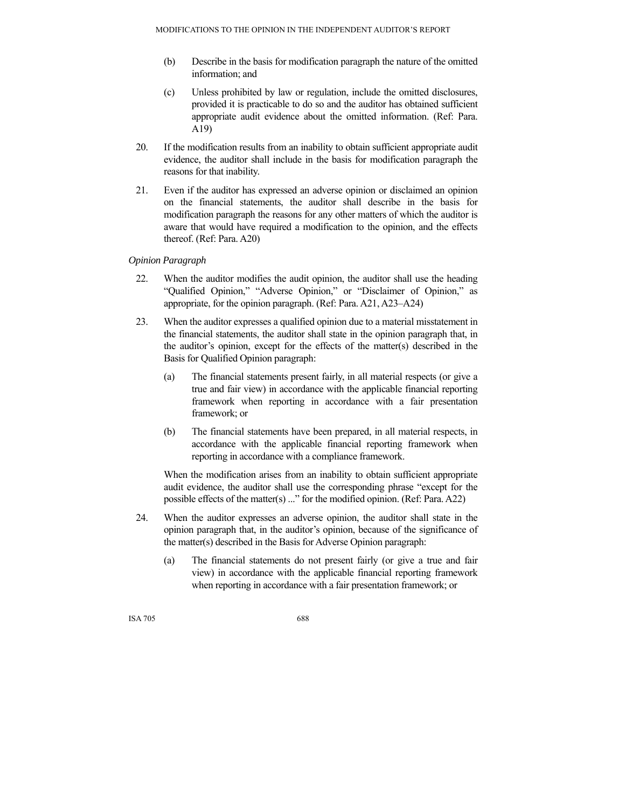- (b) Describe in the basis for modification paragraph the nature of the omitted information; and
- (c) Unless prohibited by law or regulation, include the omitted disclosures, provided it is practicable to do so and the auditor has obtained sufficient appropriate audit evidence about the omitted information. (Ref: Para. A19)
- 20. If the modification results from an inability to obtain sufficient appropriate audit evidence, the auditor shall include in the basis for modification paragraph the reasons for that inability.
- 21. Even if the auditor has expressed an adverse opinion or disclaimed an opinion on the financial statements, the auditor shall describe in the basis for modification paragraph the reasons for any other matters of which the auditor is aware that would have required a modification to the opinion, and the effects thereof. (Ref: Para. A20)

#### *Opinion Paragraph*

- 22. When the auditor modifies the audit opinion, the auditor shall use the heading "Qualified Opinion," "Adverse Opinion," or "Disclaimer of Opinion," as appropriate, for the opinion paragraph. (Ref: Para. A21, A23–A24)
- 23. When the auditor expresses a qualified opinion due to a material misstatement in the financial statements, the auditor shall state in the opinion paragraph that, in the auditor's opinion, except for the effects of the matter(s) described in the Basis for Qualified Opinion paragraph:
	- (a) The financial statements present fairly, in all material respects (or give a true and fair view) in accordance with the applicable financial reporting framework when reporting in accordance with a fair presentation framework; or
	- (b) The financial statements have been prepared, in all material respects, in accordance with the applicable financial reporting framework when reporting in accordance with a compliance framework.

When the modification arises from an inability to obtain sufficient appropriate audit evidence, the auditor shall use the corresponding phrase "except for the possible effects of the matter(s) ..." for the modified opinion. (Ref: Para. A22)

- 24. When the auditor expresses an adverse opinion, the auditor shall state in the opinion paragraph that, in the auditor's opinion, because of the significance of the matter(s) described in the Basis for Adverse Opinion paragraph:
	- (a) The financial statements do not present fairly (or give a true and fair view) in accordance with the applicable financial reporting framework when reporting in accordance with a fair presentation framework; or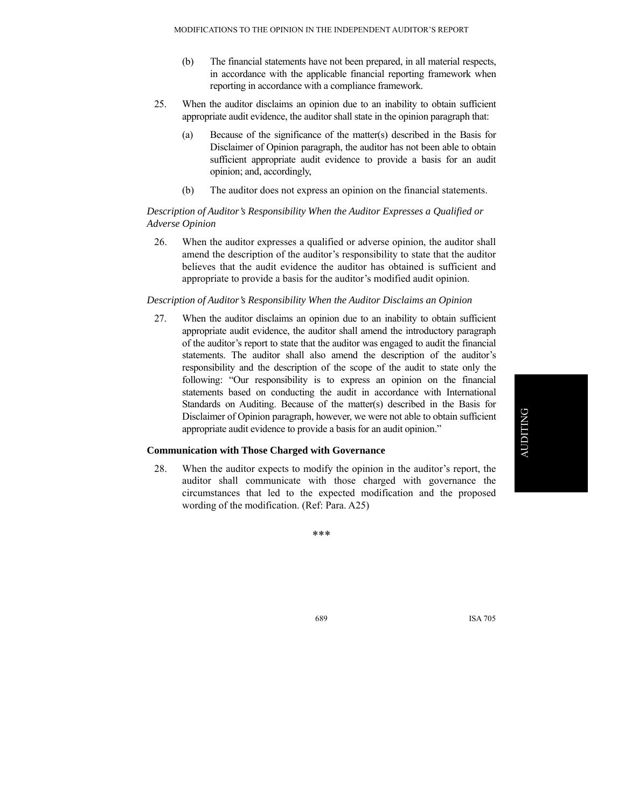- (b) The financial statements have not been prepared, in all material respects, in accordance with the applicable financial reporting framework when reporting in accordance with a compliance framework.
- 25. When the auditor disclaims an opinion due to an inability to obtain sufficient appropriate audit evidence, the auditor shall state in the opinion paragraph that:
	- (a) Because of the significance of the matter(s) described in the Basis for Disclaimer of Opinion paragraph, the auditor has not been able to obtain sufficient appropriate audit evidence to provide a basis for an audit opinion; and, accordingly,
	- (b) The auditor does not express an opinion on the financial statements.

### *Description of Auditor's Responsibility When the Auditor Expresses a Qualified or Adverse Opinion*

26. When the auditor expresses a qualified or adverse opinion, the auditor shall amend the description of the auditor's responsibility to state that the auditor believes that the audit evidence the auditor has obtained is sufficient and appropriate to provide a basis for the auditor's modified audit opinion.

#### *Description of Auditor's Responsibility When the Auditor Disclaims an Opinion*

27. When the auditor disclaims an opinion due to an inability to obtain sufficient appropriate audit evidence, the auditor shall amend the introductory paragraph of the auditor's report to state that the auditor was engaged to audit the financial statements. The auditor shall also amend the description of the auditor's responsibility and the description of the scope of the audit to state only the following: "Our responsibility is to express an opinion on the financial statements based on conducting the audit in accordance with International Standards on Auditing. Because of the matter(s) described in the Basis for Disclaimer of Opinion paragraph, however, we were not able to obtain sufficient appropriate audit evidence to provide a basis for an audit opinion."

#### **Communication with Those Charged with Governance**

28. When the auditor expects to modify the opinion in the auditor's report, the auditor shall communicate with those charged with governance the circumstances that led to the expected modification and the proposed wording of the modification. (Ref: Para. A25)

689 ISA 705

AUDITING

**AUDITING**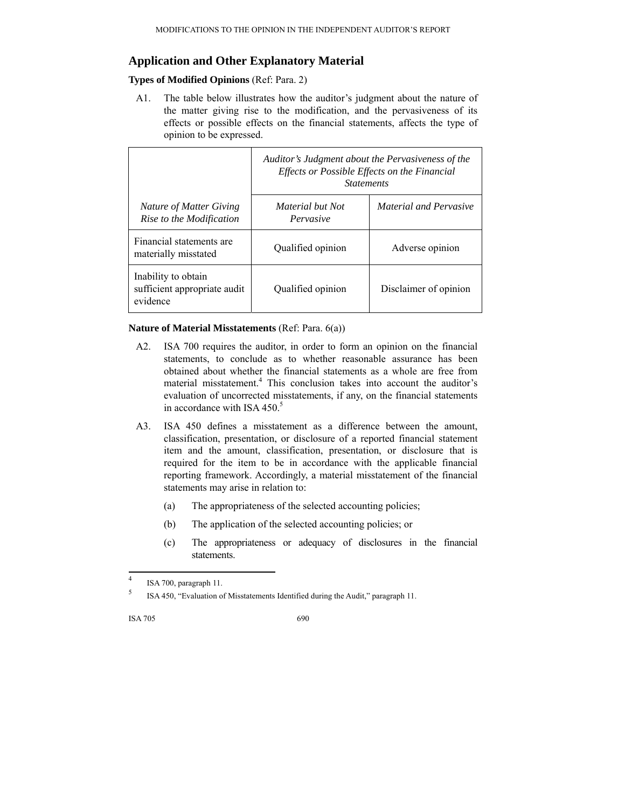# **Application and Other Explanatory Material**

**Types of Modified Opinions** (Ref: Para. 2)

A1. The table below illustrates how the auditor's judgment about the nature of the matter giving rise to the modification, and the pervasiveness of its effects or possible effects on the financial statements, affects the type of opinion to be expressed.

|                                                                 | Auditor's Judgment about the Pervasiveness of the<br>Effects or Possible Effects on the Financial<br><b>Statements</b> |                        |
|-----------------------------------------------------------------|------------------------------------------------------------------------------------------------------------------------|------------------------|
| <i>Nature of Matter Giving</i><br>Rise to the Modification      | Material but Not<br>Pervasive                                                                                          | Material and Pervasive |
| Financial statements are<br>materially misstated                | Qualified opinion                                                                                                      | Adverse opinion        |
| Inability to obtain<br>sufficient appropriate audit<br>evidence | Qualified opinion                                                                                                      | Disclaimer of opinion  |

## **Nature of Material Misstatements** (Ref: Para. 6(a))

- A2. ISA 700 requires the auditor, in order to form an opinion on the financial statements, to conclude as to whether reasonable assurance has been obtained about whether the financial statements as a whole are free from material misstatement.<sup>4</sup> This conclusion takes into account the auditor's evaluation of uncorrected misstatements, if any, on the financial statements in accordance with ISA 450.<sup>5</sup>
- A3. ISA 450 defines a misstatement as a difference between the amount, classification, presentation, or disclosure of a reported financial statement item and the amount, classification, presentation, or disclosure that is required for the item to be in accordance with the applicable financial reporting framework. Accordingly, a material misstatement of the financial statements may arise in relation to:
	- (a) The appropriateness of the selected accounting policies;
	- (b) The application of the selected accounting policies; or
	- (c) The appropriateness or adequacy of disclosures in the financial statements.

 $\frac{1}{4}$ ISA 700, paragraph 11.

<sup>5</sup> ISA 450, "Evaluation of Misstatements Identified during the Audit," paragraph 11.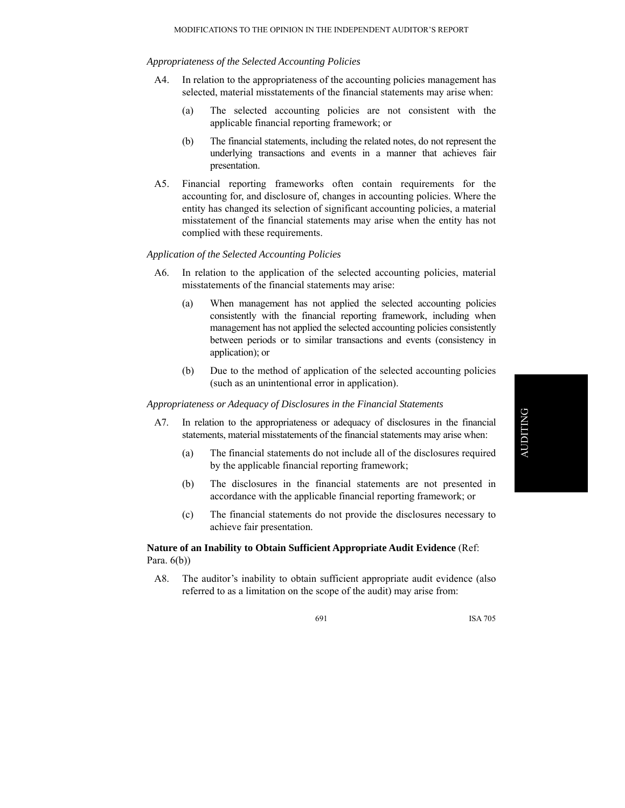*Appropriateness of the Selected Accounting Policies* 

- A4. In relation to the appropriateness of the accounting policies management has selected, material misstatements of the financial statements may arise when:
	- (a) The selected accounting policies are not consistent with the applicable financial reporting framework; or
	- (b) The financial statements, including the related notes, do not represent the underlying transactions and events in a manner that achieves fair presentation.
- A5. Financial reporting frameworks often contain requirements for the accounting for, and disclosure of, changes in accounting policies. Where the entity has changed its selection of significant accounting policies, a material misstatement of the financial statements may arise when the entity has not complied with these requirements.

### *Application of the Selected Accounting Policies*

- A6. In relation to the application of the selected accounting policies, material misstatements of the financial statements may arise:
	- (a) When management has not applied the selected accounting policies consistently with the financial reporting framework, including when management has not applied the selected accounting policies consistently between periods or to similar transactions and events (consistency in application); or
	- (b) Due to the method of application of the selected accounting policies (such as an unintentional error in application).

### *Appropriateness or Adequacy of Disclosures in the Financial Statements*

- A7. In relation to the appropriateness or adequacy of disclosures in the financial statements, material misstatements of the financial statements may arise when:
	- (a) The financial statements do not include all of the disclosures required by the applicable financial reporting framework;
	- (b) The disclosures in the financial statements are not presented in accordance with the applicable financial reporting framework; or
	- (c) The financial statements do not provide the disclosures necessary to achieve fair presentation.

## **Nature of an Inability to Obtain Sufficient Appropriate Audit Evidence** (Ref: Para.  $6(b)$ )

A8. The auditor's inability to obtain sufficient appropriate audit evidence (also referred to as a limitation on the scope of the audit) may arise from:

691 ISA 705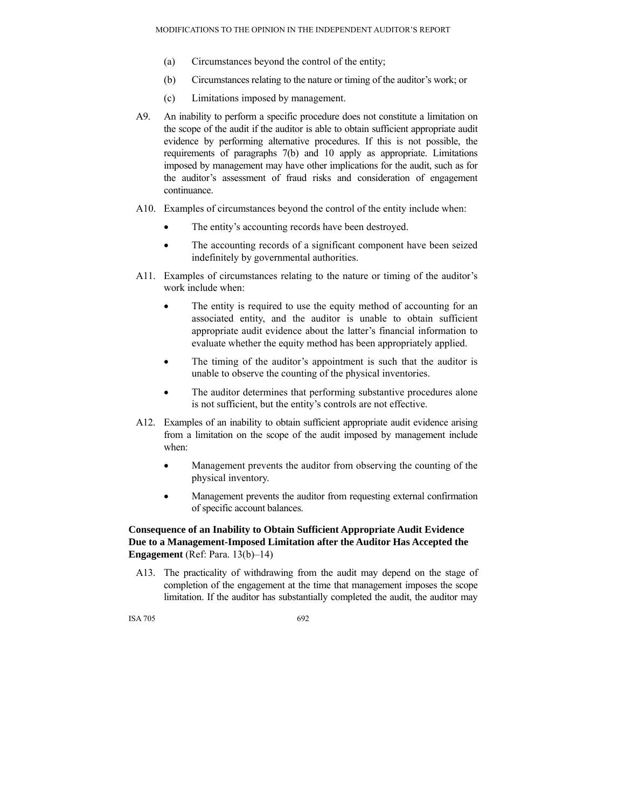- (a) Circumstances beyond the control of the entity;
- (b) Circumstances relating to the nature or timing of the auditor's work; or
- (c) Limitations imposed by management.
- A9. An inability to perform a specific procedure does not constitute a limitation on the scope of the audit if the auditor is able to obtain sufficient appropriate audit evidence by performing alternative procedures. If this is not possible, the requirements of paragraphs 7(b) and 10 apply as appropriate. Limitations imposed by management may have other implications for the audit, such as for the auditor's assessment of fraud risks and consideration of engagement continuance.
- A10. Examples of circumstances beyond the control of the entity include when:
	- The entity's accounting records have been destroyed.
	- The accounting records of a significant component have been seized indefinitely by governmental authorities.
- A11. Examples of circumstances relating to the nature or timing of the auditor's work include when:
	- The entity is required to use the equity method of accounting for an associated entity, and the auditor is unable to obtain sufficient appropriate audit evidence about the latter's financial information to evaluate whether the equity method has been appropriately applied.
	- The timing of the auditor's appointment is such that the auditor is unable to observe the counting of the physical inventories.
	- The auditor determines that performing substantive procedures alone is not sufficient, but the entity's controls are not effective.
- A12. Examples of an inability to obtain sufficient appropriate audit evidence arising from a limitation on the scope of the audit imposed by management include when:
	- Management prevents the auditor from observing the counting of the physical inventory.
	- Management prevents the auditor from requesting external confirmation of specific account balances.

## **Consequence of an Inability to Obtain Sufficient Appropriate Audit Evidence Due to a Management-Imposed Limitation after the Auditor Has Accepted the Engagement** (Ref: Para. 13(b)–14)

A13. The practicality of withdrawing from the audit may depend on the stage of completion of the engagement at the time that management imposes the scope limitation. If the auditor has substantially completed the audit, the auditor may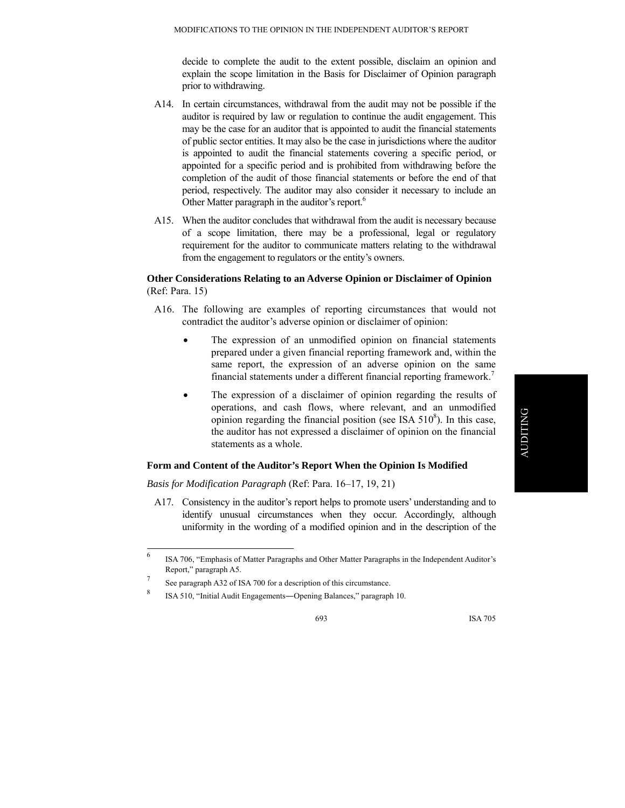decide to complete the audit to the extent possible, disclaim an opinion and explain the scope limitation in the Basis for Disclaimer of Opinion paragraph prior to withdrawing.

- A14. In certain circumstances, withdrawal from the audit may not be possible if the auditor is required by law or regulation to continue the audit engagement. This may be the case for an auditor that is appointed to audit the financial statements of public sector entities. It may also be the case in jurisdictions where the auditor is appointed to audit the financial statements covering a specific period, or appointed for a specific period and is prohibited from withdrawing before the completion of the audit of those financial statements or before the end of that period, respectively. The auditor may also consider it necessary to include an Other Matter paragraph in the auditor's report.<sup>6</sup>
- A15. When the auditor concludes that withdrawal from the audit is necessary because of a scope limitation, there may be a professional, legal or regulatory requirement for the auditor to communicate matters relating to the withdrawal from the engagement to regulators or the entity's owners.

### **Other Considerations Relating to an Adverse Opinion or Disclaimer of Opinion**  (Ref: Para. 15)

- A16. The following are examples of reporting circumstances that would not contradict the auditor's adverse opinion or disclaimer of opinion:
	- The expression of an unmodified opinion on financial statements prepared under a given financial reporting framework and, within the same report, the expression of an adverse opinion on the same financial statements under a different financial reporting framework.<sup>7</sup>
	- The expression of a disclaimer of opinion regarding the results of operations, and cash flows, where relevant, and an unmodified opinion regarding the financial position (see ISA  $510<sup>8</sup>$ ). In this case, the auditor has not expressed a disclaimer of opinion on the financial statements as a whole.

### **Form and Content of the Auditor's Report When the Opinion Is Modified**

*Basis for Modification Paragraph* (Ref: Para. 16–17, 19, 21)

A17. Consistency in the auditor's report helps to promote users' understanding and to identify unusual circumstances when they occur. Accordingly, although uniformity in the wording of a modified opinion and in the description of the

AUDITING

**AUDITING** 

 $\frac{1}{6}$  ISA 706, "Emphasis of Matter Paragraphs and Other Matter Paragraphs in the Independent Auditor's Report," paragraph A5.

<sup>7</sup> See paragraph A32 of ISA 700 for a description of this circumstance.

<sup>8</sup> ISA 510, "Initial Audit Engagements―Opening Balances," paragraph 10.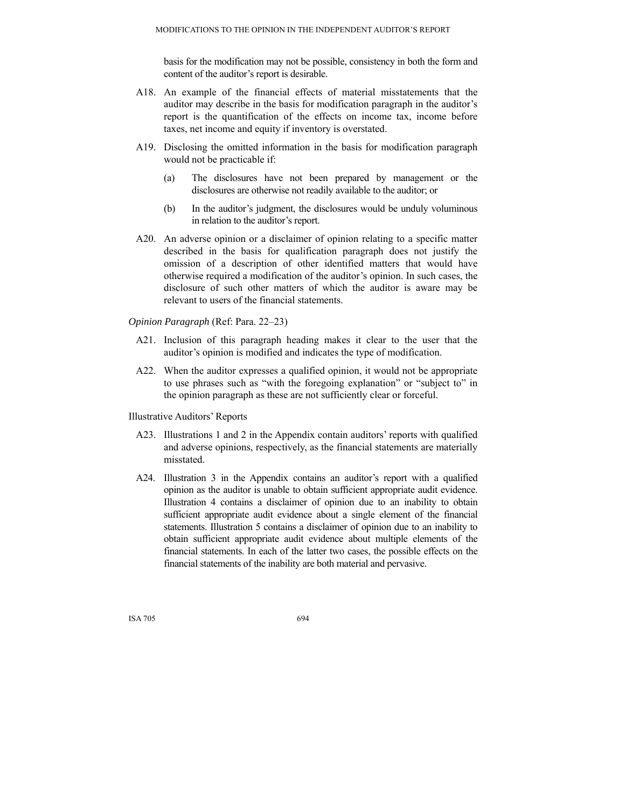basis for the modification may not be possible, consistency in both the form and content of the auditor's report is desirable.

- A18. An example of the financial effects of material misstatements that the auditor may describe in the basis for modification paragraph in the auditor's report is the quantification of the effects on income tax, income before taxes, net income and equity if inventory is overstated.
- A19. Disclosing the omitted information in the basis for modification paragraph would not be practicable if:
	- (a) The disclosures have not been prepared by management or the disclosures are otherwise not readily available to the auditor; or
	- (b) In the auditor's judgment, the disclosures would be unduly voluminous in relation to the auditor's report.
- A20. An adverse opinion or a disclaimer of opinion relating to a specific matter described in the basis for qualification paragraph does not justify the omission of a description of other identified matters that would have otherwise required a modification of the auditor's opinion. In such cases, the disclosure of such other matters of which the auditor is aware may be relevant to users of the financial statements.

*Opinion Paragraph* (Ref: Para. 22–23)

- A21. Inclusion of this paragraph heading makes it clear to the user that the auditor's opinion is modified and indicates the type of modification.
- A22. When the auditor expresses a qualified opinion, it would not be appropriate to use phrases such as "with the foregoing explanation" or "subject to" in the opinion paragraph as these are not sufficiently clear or forceful.

Illustrative Auditors' Reports

- A23. Illustrations 1 and 2 in the Appendix contain auditors' reports with qualified and adverse opinions, respectively, as the financial statements are materially misstated.
- A24. Illustration 3 in the Appendix contains an auditor's report with a qualified opinion as the auditor is unable to obtain sufficient appropriate audit evidence. Illustration 4 contains a disclaimer of opinion due to an inability to obtain sufficient appropriate audit evidence about a single element of the financial statements. Illustration 5 contains a disclaimer of opinion due to an inability to obtain sufficient appropriate audit evidence about multiple elements of the financial statements. In each of the latter two cases, the possible effects on the financial statements of the inability are both material and pervasive.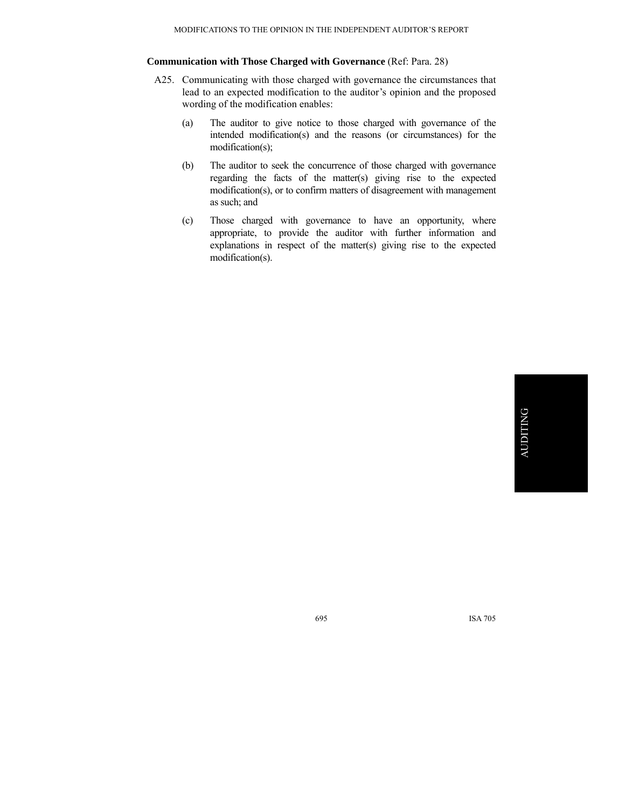### **Communication with Those Charged with Governance** (Ref: Para. 28)

- A25. Communicating with those charged with governance the circumstances that lead to an expected modification to the auditor's opinion and the proposed wording of the modification enables:
	- (a) The auditor to give notice to those charged with governance of the intended modification(s) and the reasons (or circumstances) for the modification(s);
	- (b) The auditor to seek the concurrence of those charged with governance regarding the facts of the matter(s) giving rise to the expected modification(s), or to confirm matters of disagreement with management as such; and
	- (c) Those charged with governance to have an opportunity, where appropriate, to provide the auditor with further information and explanations in respect of the matter(s) giving rise to the expected modification(s).

695 ISA 705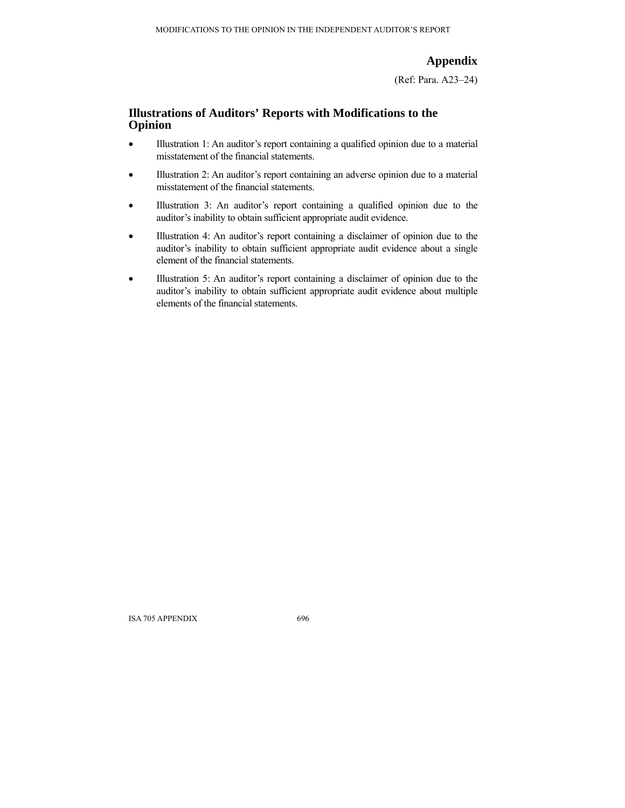## **Appendix**

(Ref: Para. A23–24)

## **Illustrations of Auditors' Reports with Modifications to the Opinion**

- Illustration 1: An auditor's report containing a qualified opinion due to a material misstatement of the financial statements.
- Illustration 2: An auditor's report containing an adverse opinion due to a material misstatement of the financial statements.
- Illustration 3: An auditor's report containing a qualified opinion due to the auditor's inability to obtain sufficient appropriate audit evidence.
- Illustration 4: An auditor's report containing a disclaimer of opinion due to the auditor's inability to obtain sufficient appropriate audit evidence about a single element of the financial statements.
- Illustration 5: An auditor's report containing a disclaimer of opinion due to the auditor's inability to obtain sufficient appropriate audit evidence about multiple elements of the financial statements.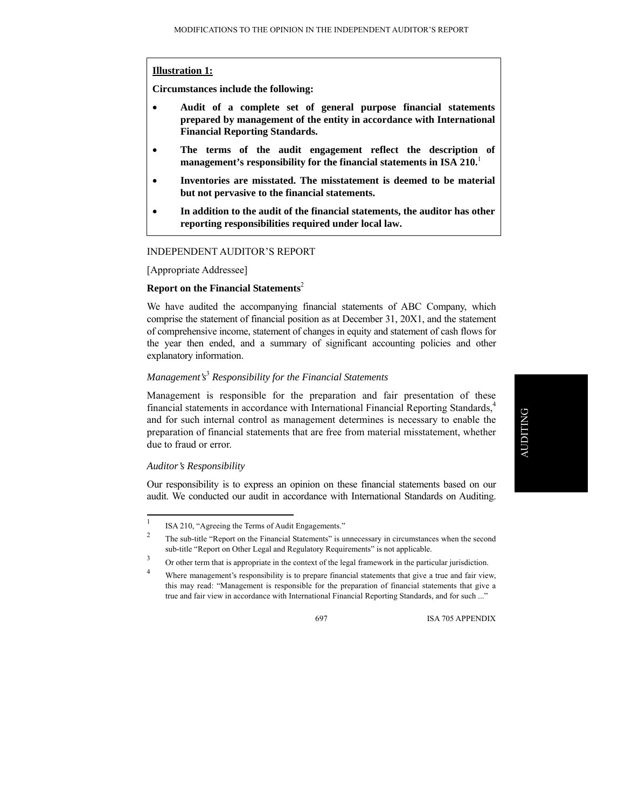# **Illustration 1:**

**Circumstances include the following:** 

- **Audit of a complete set of general purpose financial statements prepared by management of the entity in accordance with International Financial Reporting Standards.**
- The terms of the audit engagement reflect the description of **management's responsibility for the financial statements in ISA 210.**<sup>1</sup>
- **Inventories are misstated. The misstatement is deemed to be material but not pervasive to the financial statements.**
- **In addition to the audit of the financial statements, the auditor has other reporting responsibilities required under local law.**

### INDEPENDENT AUDITOR'S REPORT

[Appropriate Addressee]

#### **Report on the Financial Statements**<sup>2</sup>

We have audited the accompanying financial statements of ABC Company, which comprise the statement of financial position as at December 31, 20X1, and the statement of comprehensive income, statement of changes in equity and statement of cash flows for the year then ended, and a summary of significant accounting policies and other explanatory information.

## *Management's*<sup>3</sup>  *Responsibility for the Financial Statements*

Management is responsible for the preparation and fair presentation of these financial statements in accordance with International Financial Reporting Standards,<sup>4</sup> and for such internal control as management determines is necessary to enable the preparation of financial statements that are free from material misstatement, whether due to fraud or error.

### *Auditor's Responsibility*

Our responsibility is to express an opinion on these financial statements based on our audit. We conducted our audit in accordance with International Standards on Auditing.

697 ISA 705 APPENDIX

AUDITING

**AUDITING** 

 $\mathbf{1}$ <sup>1</sup> ISA 210, "Agreeing the Terms of Audit Engagements."

<sup>2</sup> The sub-title "Report on the Financial Statements" is unnecessary in circumstances when the second sub-title "Report on Other Legal and Regulatory Requirements" is not applicable.

<sup>3</sup>  $\frac{3}{4}$  Or other term that is appropriate in the context of the legal framework in the particular jurisdiction.

Where management's responsibility is to prepare financial statements that give a true and fair view, this may read: "Management is responsible for the preparation of financial statements that give a true and fair view in accordance with International Financial Reporting Standards, and for such ..."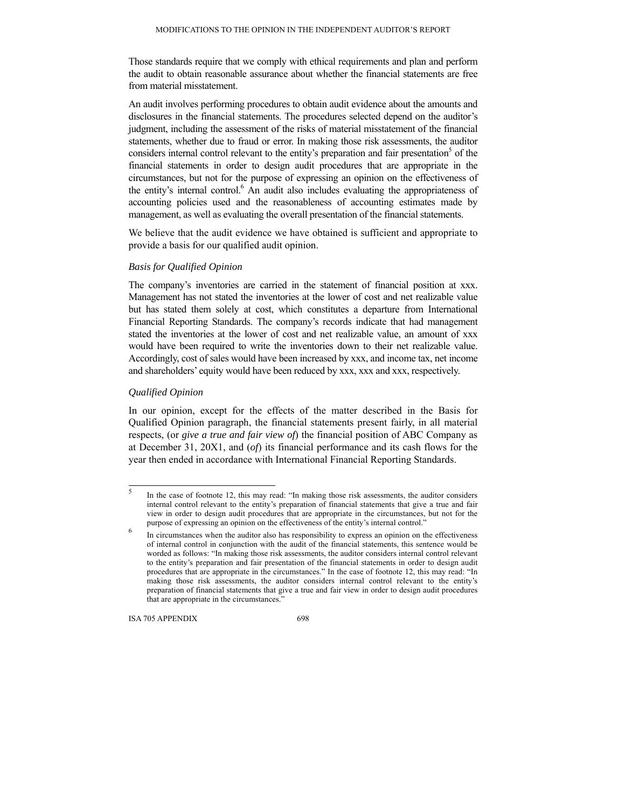Those standards require that we comply with ethical requirements and plan and perform the audit to obtain reasonable assurance about whether the financial statements are free from material misstatement.

An audit involves performing procedures to obtain audit evidence about the amounts and disclosures in the financial statements. The procedures selected depend on the auditor's judgment, including the assessment of the risks of material misstatement of the financial statements, whether due to fraud or error. In making those risk assessments, the auditor considers internal control relevant to the entity's preparation and fair presentation<sup>5</sup> of the financial statements in order to design audit procedures that are appropriate in the circumstances, but not for the purpose of expressing an opinion on the effectiveness of the entity's internal control.<sup>6</sup> An audit also includes evaluating the appropriateness of accounting policies used and the reasonableness of accounting estimates made by management, as well as evaluating the overall presentation of the financial statements.

We believe that the audit evidence we have obtained is sufficient and appropriate to provide a basis for our qualified audit opinion.

### *Basis for Qualified Opinion*

The company's inventories are carried in the statement of financial position at xxx. Management has not stated the inventories at the lower of cost and net realizable value but has stated them solely at cost, which constitutes a departure from International Financial Reporting Standards. The company's records indicate that had management stated the inventories at the lower of cost and net realizable value, an amount of xxx would have been required to write the inventories down to their net realizable value. Accordingly, cost of sales would have been increased by xxx, and income tax, net income and shareholders' equity would have been reduced by xxx, xxx and xxx, respectively.

### *Qualified Opinion*

In our opinion, except for the effects of the matter described in the Basis for Qualified Opinion paragraph, the financial statements present fairly, in all material respects, (or *give a true and fair view of*) the financial position of ABC Company as at December 31, 20X1, and (*of*) its financial performance and its cash flows for the year then ended in accordance with International Financial Reporting Standards.

 5 In the case of footnote 12, this may read: "In making those risk assessments, the auditor considers internal control relevant to the entity's preparation of financial statements that give a true and fair view in order to design audit procedures that are appropriate in the circumstances, but not for the purpose of expressing an opinion on the effectiveness of the entity's internal control."

In circumstances when the auditor also has responsibility to express an opinion on the effectiveness of internal control in conjunction with the audit of the financial statements, this sentence would be worded as follows: "In making those risk assessments, the auditor considers internal control relevant to the entity's preparation and fair presentation of the financial statements in order to design audit procedures that are appropriate in the circumstances." In the case of footnote 12, this may read: "In making those risk assessments, the auditor considers internal control relevant to the entity's preparation of financial statements that give a true and fair view in order to design audit procedures that are appropriate in the circumstances.'

ISA 705 APPENDIX 698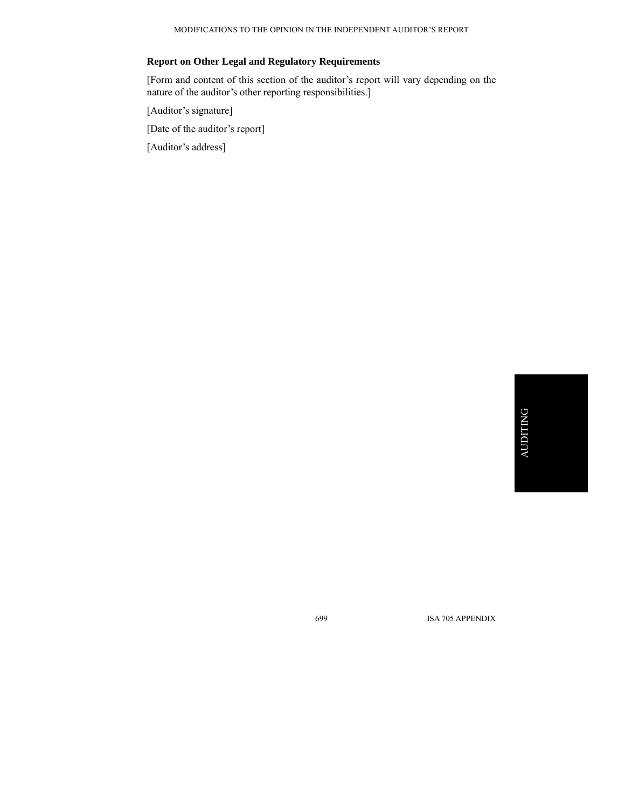## **Report on Other Legal and Regulatory Requirements**

[Form and content of this section of the auditor's report will vary depending on the nature of the auditor's other reporting responsibilities.]

[Auditor's signature]

[Date of the auditor's report]

[Auditor's address]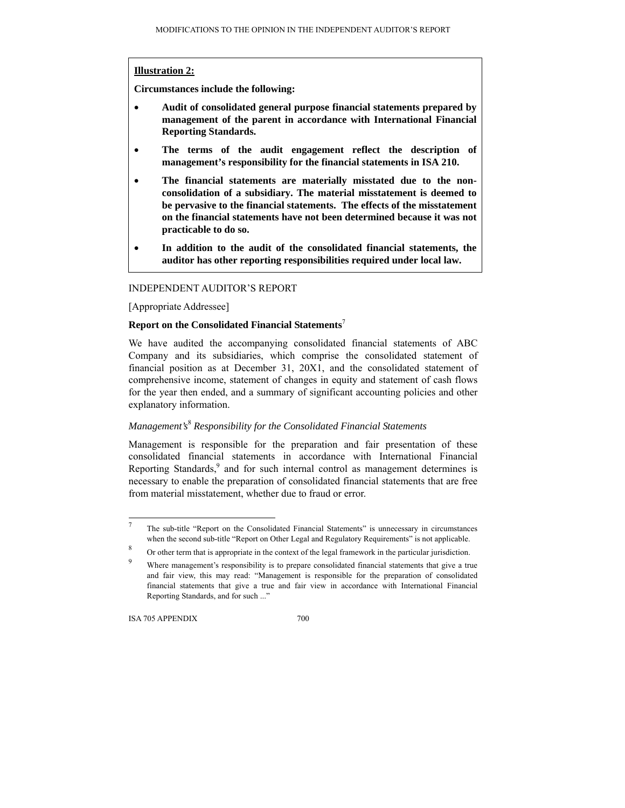### **Illustration 2:**

**Circumstances include the following:** 

- **Audit of consolidated general purpose financial statements prepared by management of the parent in accordance with International Financial Reporting Standards.**
- The terms of the audit engagement reflect the description of **management's responsibility for the financial statements in ISA 210.**
- **The financial statements are materially misstated due to the nonconsolidation of a subsidiary. The material misstatement is deemed to be pervasive to the financial statements. The effects of the misstatement on the financial statements have not been determined because it was not practicable to do so.**
- **In addition to the audit of the consolidated financial statements, the auditor has other reporting responsibilities required under local law.**

### INDEPENDENT AUDITOR'S REPORT

[Appropriate Addressee]

## **Report on the Consolidated Financial Statements**<sup>7</sup>

We have audited the accompanying consolidated financial statements of ABC Company and its subsidiaries, which comprise the consolidated statement of financial position as at December 31, 20X1, and the consolidated statement of comprehensive income, statement of changes in equity and statement of cash flows for the year then ended, and a summary of significant accounting policies and other explanatory information.

## *Management's*<sup>8</sup>  *Responsibility for the Consolidated Financial Statements*

Management is responsible for the preparation and fair presentation of these consolidated financial statements in accordance with International Financial Reporting Standards,<sup>9</sup> and for such internal control as management determines is necessary to enable the preparation of consolidated financial statements that are free from material misstatement, whether due to fraud or error.

 $\tau$ <sup>7</sup> The sub-title "Report on the Consolidated Financial Statements" is unnecessary in circumstances when the second sub-title "Report on Other Legal and Regulatory Requirements" is not applicable.

<sup>8</sup> Or other term that is appropriate in the context of the legal framework in the particular jurisdiction.

<sup>9</sup> Where management's responsibility is to prepare consolidated financial statements that give a true and fair view, this may read: "Management is responsible for the preparation of consolidated financial statements that give a true and fair view in accordance with International Financial Reporting Standards, and for such ..."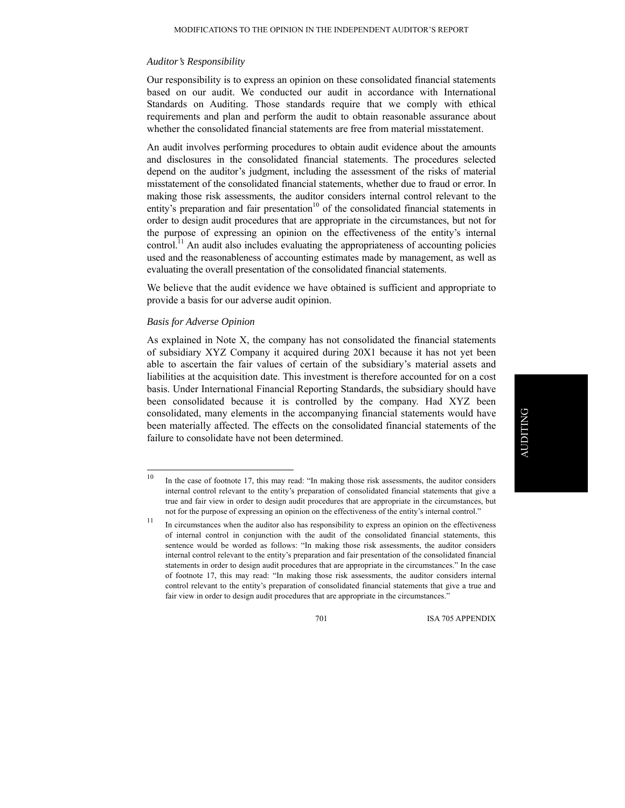#### *Auditor's Responsibility*

Our responsibility is to express an opinion on these consolidated financial statements based on our audit. We conducted our audit in accordance with International Standards on Auditing. Those standards require that we comply with ethical requirements and plan and perform the audit to obtain reasonable assurance about whether the consolidated financial statements are free from material misstatement.

An audit involves performing procedures to obtain audit evidence about the amounts and disclosures in the consolidated financial statements. The procedures selected depend on the auditor's judgment, including the assessment of the risks of material misstatement of the consolidated financial statements, whether due to fraud or error. In making those risk assessments, the auditor considers internal control relevant to the entity's preparation and fair presentation<sup>10</sup> of the consolidated financial statements in order to design audit procedures that are appropriate in the circumstances, but not for the purpose of expressing an opinion on the effectiveness of the entity's internal control.<sup>11</sup> An audit also includes evaluating the appropriateness of accounting policies used and the reasonableness of accounting estimates made by management, as well as evaluating the overall presentation of the consolidated financial statements.

We believe that the audit evidence we have obtained is sufficient and appropriate to provide a basis for our adverse audit opinion.

#### *Basis for Adverse Opinion*

As explained in Note X, the company has not consolidated the financial statements of subsidiary XYZ Company it acquired during 20X1 because it has not yet been able to ascertain the fair values of certain of the subsidiary's material assets and liabilities at the acquisition date. This investment is therefore accounted for on a cost basis. Under International Financial Reporting Standards, the subsidiary should have been consolidated because it is controlled by the company. Had XYZ been consolidated, many elements in the accompanying financial statements would have been materially affected. The effects on the consolidated financial statements of the failure to consolidate have not been determined.

<sup>10</sup> In the case of footnote 17, this may read: "In making those risk assessments, the auditor considers internal control relevant to the entity's preparation of consolidated financial statements that give a true and fair view in order to design audit procedures that are appropriate in the circumstances, but not for the purpose of expressing an opinion on the effectiveness of the entity's internal control."

<sup>&</sup>lt;sup>11</sup> In circumstances when the auditor also has responsibility to express an opinion on the effectiveness of internal control in conjunction with the audit of the consolidated financial statements, this sentence would be worded as follows: "In making those risk assessments, the auditor considers internal control relevant to the entity's preparation and fair presentation of the consolidated financial statements in order to design audit procedures that are appropriate in the circumstances." In the case of footnote 17, this may read: "In making those risk assessments, the auditor considers internal control relevant to the entity's preparation of consolidated financial statements that give a true and fair view in order to design audit procedures that are appropriate in the circumstances."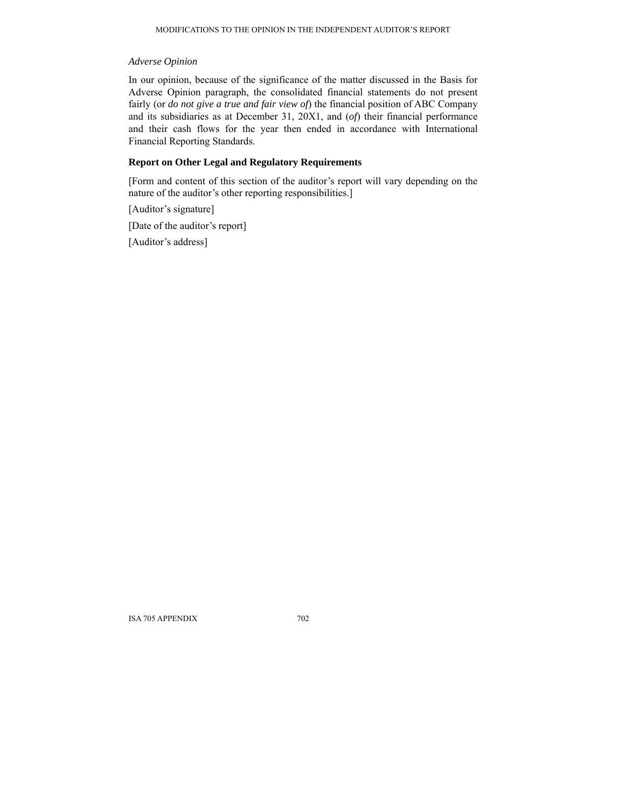### *Adverse Opinion*

In our opinion, because of the significance of the matter discussed in the Basis for Adverse Opinion paragraph, the consolidated financial statements do not present fairly (or *do not give a true and fair view of*) the financial position of ABC Company and its subsidiaries as at December 31, 20X1, and (*of*) their financial performance and their cash flows for the year then ended in accordance with International Financial Reporting Standards.

## **Report on Other Legal and Regulatory Requirements**

[Form and content of this section of the auditor's report will vary depending on the nature of the auditor's other reporting responsibilities.]

[Auditor's signature]

[Date of the auditor's report]

[Auditor's address]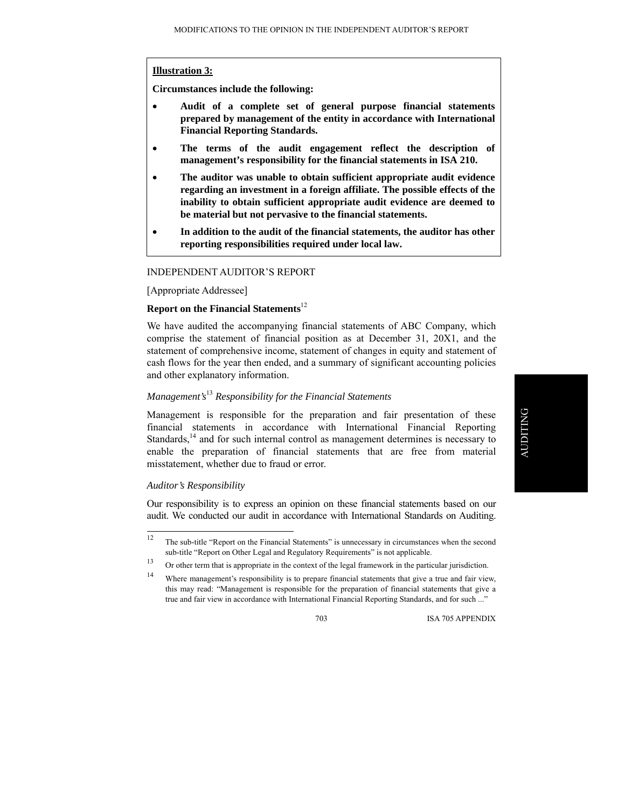## **Illustration 3:**

**Circumstances include the following:** 

- **Audit of a complete set of general purpose financial statements prepared by management of the entity in accordance with International Financial Reporting Standards.**
- **The terms of the audit engagement reflect the description of management's responsibility for the financial statements in ISA 210.**
- **The auditor was unable to obtain sufficient appropriate audit evidence regarding an investment in a foreign affiliate. The possible effects of the inability to obtain sufficient appropriate audit evidence are deemed to be material but not pervasive to the financial statements.**
- **In addition to the audit of the financial statements, the auditor has other reporting responsibilities required under local law.**

#### INDEPENDENT AUDITOR'S REPORT

[Appropriate Addressee]

## **Report on the Financial Statements**<sup>12</sup>

We have audited the accompanying financial statements of ABC Company, which comprise the statement of financial position as at December 31, 20X1, and the statement of comprehensive income, statement of changes in equity and statement of cash flows for the year then ended, and a summary of significant accounting policies and other explanatory information.

# *Management's*<sup>13</sup> *Responsibility for the Financial Statements*

Management is responsible for the preparation and fair presentation of these financial statements in accordance with International Financial Reporting Standards,<sup>14</sup> and for such internal control as management determines is necessary to enable the preparation of financial statements that are free from material misstatement, whether due to fraud or error.

### *Auditor's Responsibility*

Our responsibility is to express an opinion on these financial statements based on our audit. We conducted our audit in accordance with International Standards on Auditing.

<sup>&</sup>lt;sup>14</sup> Where management's responsibility is to prepare financial statements that give a true and fair view, this may read: "Management is responsible for the preparation of financial statements that give a true and fair view in accordance with International Financial Reporting Standards, and for such ..."



 $12$ <sup>12</sup> The sub-title "Report on the Financial Statements" is unnecessary in circumstances when the second sub-title "Report on Other Legal and Regulatory Requirements" is not applicable.

<sup>&</sup>lt;sup>13</sup> Or other term that is appropriate in the context of the legal framework in the particular jurisdiction.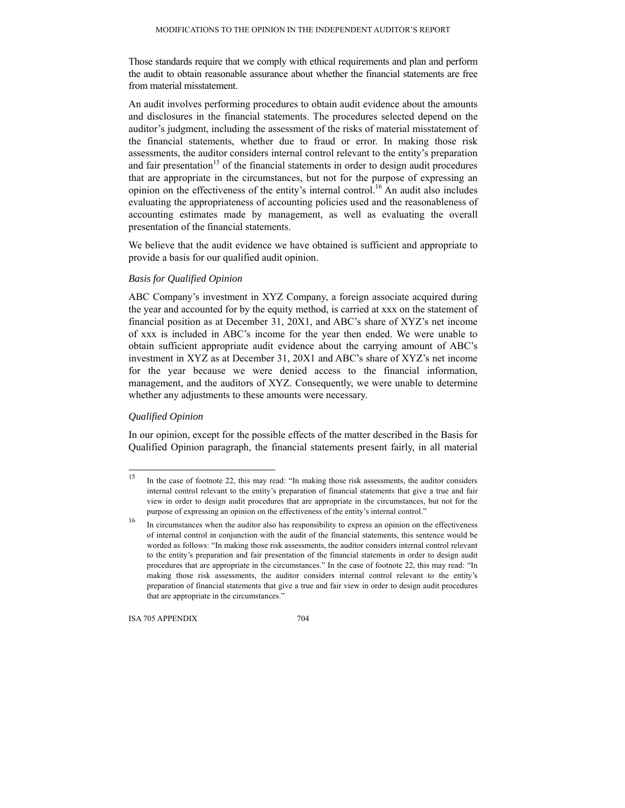Those standards require that we comply with ethical requirements and plan and perform the audit to obtain reasonable assurance about whether the financial statements are free from material misstatement.

An audit involves performing procedures to obtain audit evidence about the amounts and disclosures in the financial statements. The procedures selected depend on the auditor's judgment, including the assessment of the risks of material misstatement of the financial statements, whether due to fraud or error. In making those risk assessments, the auditor considers internal control relevant to the entity's preparation and fair presentation<sup>15</sup> of the financial statements in order to design audit procedures that are appropriate in the circumstances, but not for the purpose of expressing an opinion on the effectiveness of the entity's internal control.<sup>16</sup> An audit also includes evaluating the appropriateness of accounting policies used and the reasonableness of accounting estimates made by management, as well as evaluating the overall presentation of the financial statements.

We believe that the audit evidence we have obtained is sufficient and appropriate to provide a basis for our qualified audit opinion.

### *Basis for Qualified Opinion*

ABC Company's investment in XYZ Company, a foreign associate acquired during the year and accounted for by the equity method, is carried at xxx on the statement of financial position as at December 31, 20X1, and ABC's share of XYZ's net income of xxx is included in ABC's income for the year then ended. We were unable to obtain sufficient appropriate audit evidence about the carrying amount of ABC's investment in XYZ as at December 31, 20X1 and ABC's share of XYZ's net income for the year because we were denied access to the financial information, management, and the auditors of XYZ. Consequently, we were unable to determine whether any adjustments to these amounts were necessary.

### *Qualified Opinion*

In our opinion, except for the possible effects of the matter described in the Basis for Qualified Opinion paragraph, the financial statements present fairly, in all material

<sup>15</sup> 15 In the case of footnote 22, this may read: "In making those risk assessments, the auditor considers internal control relevant to the entity's preparation of financial statements that give a true and fair view in order to design audit procedures that are appropriate in the circumstances, but not for the purpose of expressing an opinion on the effectiveness of the entity's internal control."

<sup>16</sup> In circumstances when the auditor also has responsibility to express an opinion on the effectiveness of internal control in conjunction with the audit of the financial statements, this sentence would be worded as follows: "In making those risk assessments, the auditor considers internal control relevant to the entity's preparation and fair presentation of the financial statements in order to design audit procedures that are appropriate in the circumstances." In the case of footnote 22, this may read: "In making those risk assessments, the auditor considers internal control relevant to the entity's preparation of financial statements that give a true and fair view in order to design audit procedures that are appropriate in the circumstances."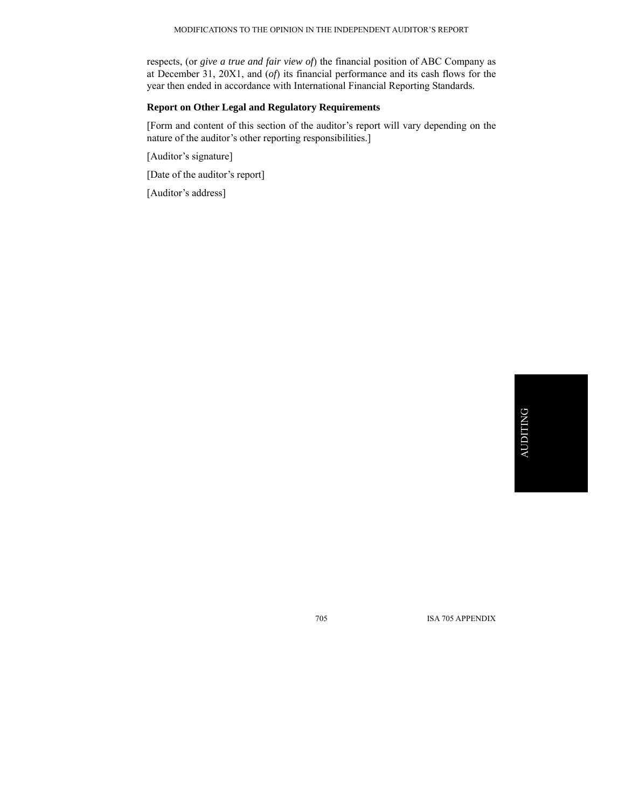respects, (or *give a true and fair view of*) the financial position of ABC Company as at December 31, 20X1, and (*of*) its financial performance and its cash flows for the year then ended in accordance with International Financial Reporting Standards.

## **Report on Other Legal and Regulatory Requirements**

[Form and content of this section of the auditor's report will vary depending on the nature of the auditor's other reporting responsibilities.]

[Auditor's signature]

[Date of the auditor's report]

[Auditor's address]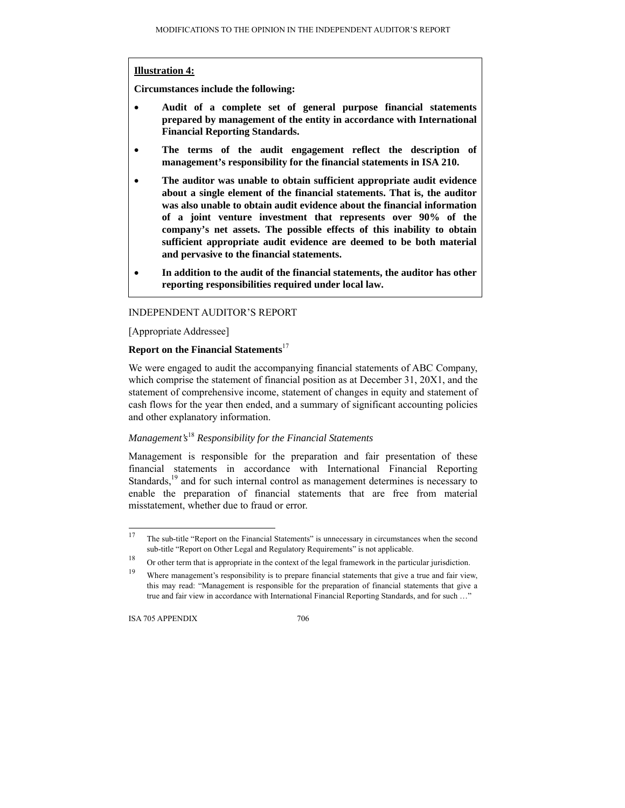### **Illustration 4:**

**Circumstances include the following:** 

- **Audit of a complete set of general purpose financial statements prepared by management of the entity in accordance with International Financial Reporting Standards.**
- **The terms of the audit engagement reflect the description of management's responsibility for the financial statements in ISA 210.**
- **The auditor was unable to obtain sufficient appropriate audit evidence about a single element of the financial statements. That is, the auditor was also unable to obtain audit evidence about the financial information of a joint venture investment that represents over 90% of the company's net assets. The possible effects of this inability to obtain sufficient appropriate audit evidence are deemed to be both material and pervasive to the financial statements.**
- **In addition to the audit of the financial statements, the auditor has other reporting responsibilities required under local law.**

#### INDEPENDENT AUDITOR'S REPORT

[Appropriate Addressee]

### **Report on the Financial Statements**<sup>17</sup>

We were engaged to audit the accompanying financial statements of ABC Company, which comprise the statement of financial position as at December 31, 20X1, and the statement of comprehensive income, statement of changes in equity and statement of cash flows for the year then ended, and a summary of significant accounting policies and other explanatory information.

# *Management's*<sup>18</sup> *Responsibility for the Financial Statements*

Management is responsible for the preparation and fair presentation of these financial statements in accordance with International Financial Reporting Standards,<sup>19</sup> and for such internal control as management determines is necessary to enable the preparation of financial statements that are free from material misstatement, whether due to fraud or error.

<sup>17</sup> <sup>17</sup> The sub-title "Report on the Financial Statements" is unnecessary in circumstances when the second sub-title "Report on Other Legal and Regulatory Requirements" is not applicable.

<sup>&</sup>lt;sup>18</sup> Or other term that is appropriate in the context of the legal framework in the particular jurisdiction.

Where management's responsibility is to prepare financial statements that give a true and fair view, this may read: "Management is responsible for the preparation of financial statements that give a true and fair view in accordance with International Financial Reporting Standards, and for such …"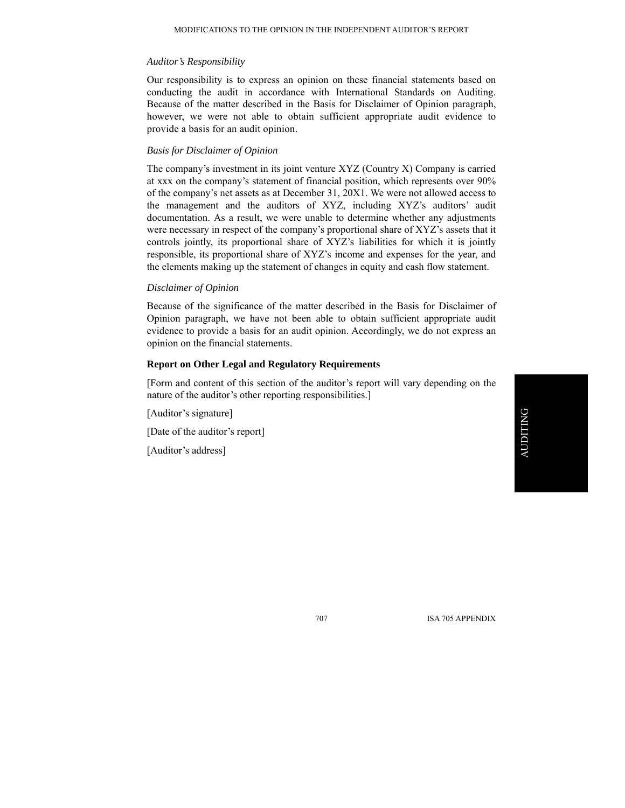#### *Auditor's Responsibility*

Our responsibility is to express an opinion on these financial statements based on conducting the audit in accordance with International Standards on Auditing. Because of the matter described in the Basis for Disclaimer of Opinion paragraph, however, we were not able to obtain sufficient appropriate audit evidence to provide a basis for an audit opinion.

### *Basis for Disclaimer of Opinion*

The company's investment in its joint venture XYZ (Country X) Company is carried at xxx on the company's statement of financial position, which represents over 90% of the company's net assets as at December 31, 20X1. We were not allowed access to the management and the auditors of XYZ, including XYZ's auditors' audit documentation. As a result, we were unable to determine whether any adjustments were necessary in respect of the company's proportional share of XYZ's assets that it controls jointly, its proportional share of XYZ's liabilities for which it is jointly responsible, its proportional share of XYZ's income and expenses for the year, and the elements making up the statement of changes in equity and cash flow statement.

### *Disclaimer of Opinion*

Because of the significance of the matter described in the Basis for Disclaimer of Opinion paragraph, we have not been able to obtain sufficient appropriate audit evidence to provide a basis for an audit opinion. Accordingly, we do not express an opinion on the financial statements.

### **Report on Other Legal and Regulatory Requirements**

[Form and content of this section of the auditor's report will vary depending on the nature of the auditor's other reporting responsibilities.]

[Auditor's signature]

[Date of the auditor's report]

[Auditor's address]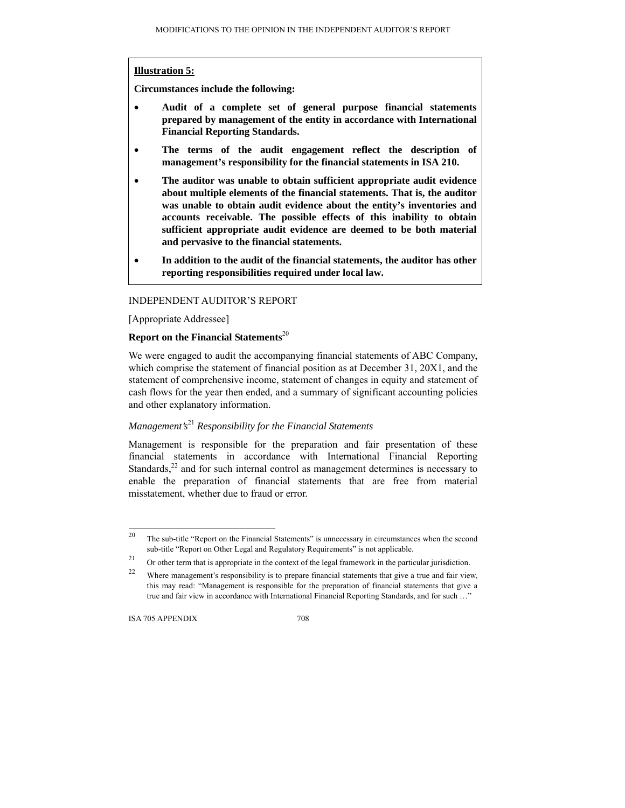### **Illustration 5:**

**Circumstances include the following:** 

- **Audit of a complete set of general purpose financial statements prepared by management of the entity in accordance with International Financial Reporting Standards.**
- **The terms of the audit engagement reflect the description of management's responsibility for the financial statements in ISA 210.**
- **The auditor was unable to obtain sufficient appropriate audit evidence about multiple elements of the financial statements. That is, the auditor was unable to obtain audit evidence about the entity's inventories and accounts receivable. The possible effects of this inability to obtain sufficient appropriate audit evidence are deemed to be both material and pervasive to the financial statements.**
- **In addition to the audit of the financial statements, the auditor has other reporting responsibilities required under local law.**

### INDEPENDENT AUDITOR'S REPORT

[Appropriate Addressee]

## **Report on the Financial Statements**<sup>20</sup>

We were engaged to audit the accompanying financial statements of ABC Company, which comprise the statement of financial position as at December 31, 20X1, and the statement of comprehensive income, statement of changes in equity and statement of cash flows for the year then ended, and a summary of significant accounting policies and other explanatory information.

# *Management's*<sup>21</sup> *Responsibility for the Financial Statements*

Management is responsible for the preparation and fair presentation of these financial statements in accordance with International Financial Reporting Standards, $22$  and for such internal control as management determines is necessary to enable the preparation of financial statements that are free from material misstatement, whether due to fraud or error.

<sup>20</sup> <sup>20</sup> The sub-title "Report on the Financial Statements" is unnecessary in circumstances when the second sub-title "Report on Other Legal and Regulatory Requirements" is not applicable.

<sup>&</sup>lt;sup>21</sup> Or other term that is appropriate in the context of the legal framework in the particular jurisdiction.

<sup>22</sup> Where management's responsibility is to prepare financial statements that give a true and fair view, this may read: "Management is responsible for the preparation of financial statements that give a true and fair view in accordance with International Financial Reporting Standards, and for such …"